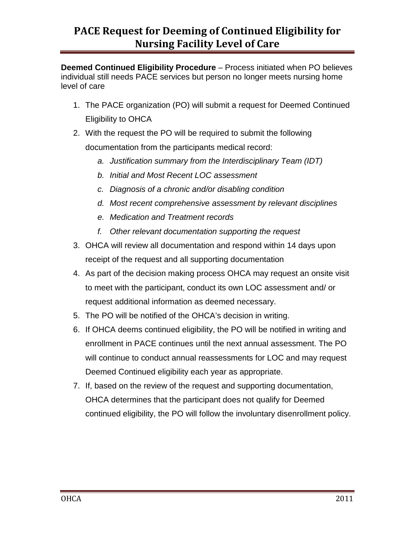## **PACE Request for Deeming of Continued Eligibility for Nursing Facility Level of Care**

**Deemed Continued Eligibility Procedure** – Process initiated when PO believes individual still needs PACE services but person no longer meets nursing home level of care

- 1. The PACE organization (PO) will submit a request for Deemed Continued Eligibility to OHCA
- 2. With the request the PO will be required to submit the following documentation from the participants medical record:
	- *a. Justification summary from the Interdisciplinary Team (IDT)*
	- *b. Initial and Most Recent LOC assessment*
	- *c. Diagnosis of a chronic and/or disabling condition*
	- *d. Most recent comprehensive assessment by relevant disciplines*
	- *e. Medication and Treatment records*
	- *f. Other relevant documentation supporting the request*
- 3. OHCA will review all documentation and respond within 14 days upon receipt of the request and all supporting documentation
- 4. As part of the decision making process OHCA may request an onsite visit to meet with the participant, conduct its own LOC assessment and/ or request additional information as deemed necessary.
- 5. The PO will be notified of the OHCA's decision in writing.
- 6. If OHCA deems continued eligibility, the PO will be notified in writing and enrollment in PACE continues until the next annual assessment. The PO will continue to conduct annual reassessments for LOC and may request Deemed Continued eligibility each year as appropriate.
- 7. If, based on the review of the request and supporting documentation, OHCA determines that the participant does not qualify for Deemed continued eligibility, the PO will follow the involuntary disenrollment policy.